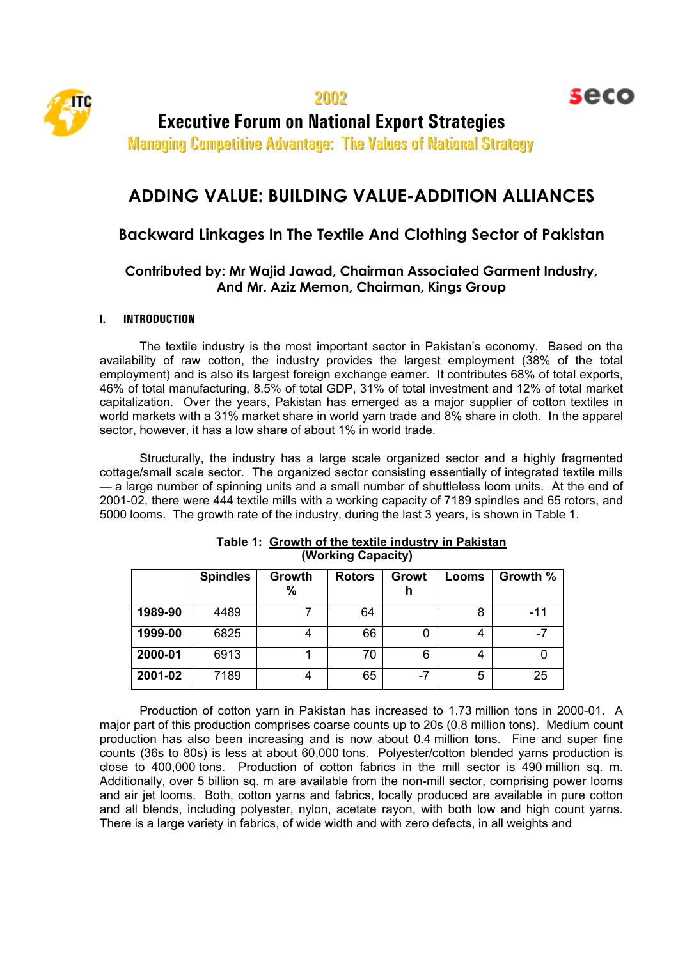

seco

**Executive Forum on National Export Strategies** 

Managing Competitive Advantage: The Values of National Strategy

# **ADDING VALUE: BUILDING VALUE-ADDITION ALLIANCES**

## **Backward Linkages In The Textile And Clothing Sector of Pakistan**

### **Contributed by: Mr Wajid Jawad, Chairman Associated Garment Industry, And Mr. Aziz Memon, Chairman, Kings Group**

#### **I. INTRODUCTION**

The textile industry is the most important sector in Pakistan's economy. Based on the availability of raw cotton, the industry provides the largest employment (38% of the total employment) and is also its largest foreign exchange earner. It contributes 68% of total exports, 46% of total manufacturing, 8.5% of total GDP, 31% of total investment and 12% of total market capitalization. Over the years, Pakistan has emerged as a major supplier of cotton textiles in world markets with a 31% market share in world yarn trade and 8% share in cloth. In the apparel sector, however, it has a low share of about 1% in world trade.

Structurally, the industry has a large scale organized sector and a highly fragmented cottage/small scale sector. The organized sector consisting essentially of integrated textile mills — a large number of spinning units and a small number of shuttleless loom units. At the end of 2001-02, there were 444 textile mills with a working capacity of 7189 spindles and 65 rotors, and 5000 looms. The growth rate of the industry, during the last 3 years, is shown in Table 1.

|         | <b>Spindles</b> | Growth<br>% | <b>Rotors</b> | Growt<br>h | Looms | Growth % |
|---------|-----------------|-------------|---------------|------------|-------|----------|
| 1989-90 | 4489            |             | 64            |            | 8     | $-11$    |
| 1999-00 | 6825            |             | 66            |            | 4     | -7       |
| 2000-01 | 6913            |             | 70            | 6          | 4     |          |
| 2001-02 | 7189            |             | 65            | -7         | 5     | 25       |

#### **Table 1: Growth of the textile industry in Pakistan (Working Capacity)**

Production of cotton yarn in Pakistan has increased to 1.73 million tons in 2000-01. A major part of this production comprises coarse counts up to 20s (0.8 million tons). Medium count production has also been increasing and is now about 0.4 million tons. Fine and super fine counts (36s to 80s) is less at about 60,000 tons. Polyester/cotton blended yarns production is close to 400,000 tons. Production of cotton fabrics in the mill sector is 490 million sq. m. Additionally, over 5 billion sq. m are available from the non-mill sector, comprising power looms and air jet looms. Both, cotton yarns and fabrics, locally produced are available in pure cotton and all blends, including polyester, nylon, acetate rayon, with both low and high count yarns. There is a large variety in fabrics, of wide width and with zero defects, in all weights and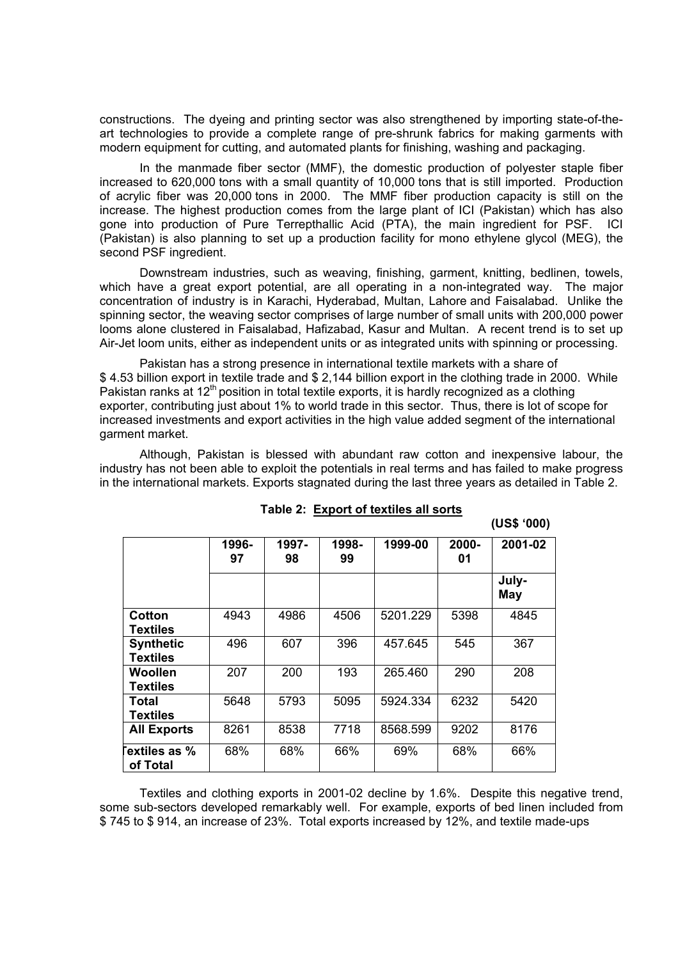constructions. The dyeing and printing sector was also strengthened by importing state-of-theart technologies to provide a complete range of pre-shrunk fabrics for making garments with modern equipment for cutting, and automated plants for finishing, washing and packaging.

In the manmade fiber sector (MMF), the domestic production of polyester staple fiber increased to 620,000 tons with a small quantity of 10,000 tons that is still imported. Production of acrylic fiber was 20,000 tons in 2000. The MMF fiber production capacity is still on the increase. The highest production comes from the large plant of ICI (Pakistan) which has also gone into production of Pure Terrepthallic Acid (PTA), the main ingredient for PSF. ICI (Pakistan) is also planning to set up a production facility for mono ethylene glycol (MEG), the second PSF ingredient.

Downstream industries, such as weaving, finishing, garment, knitting, bedlinen, towels, which have a great export potential, are all operating in a non-integrated way. The major concentration of industry is in Karachi, Hyderabad, Multan, Lahore and Faisalabad. Unlike the spinning sector, the weaving sector comprises of large number of small units with 200,000 power looms alone clustered in Faisalabad, Hafizabad, Kasur and Multan. A recent trend is to set up Air-Jet loom units, either as independent units or as integrated units with spinning or processing.

Pakistan has a strong presence in international textile markets with a share of \$ 4.53 billion export in textile trade and \$ 2,144 billion export in the clothing trade in 2000. While Pakistan ranks at  $12<sup>th</sup>$  position in total textile exports, it is hardly recognized as a clothing exporter, contributing just about 1% to world trade in this sector. Thus, there is lot of scope for increased investments and export activities in the high value added segment of the international garment market.

Although, Pakistan is blessed with abundant raw cotton and inexpensive labour, the industry has not been able to exploit the potentials in real terms and has failed to make progress in the international markets. Exports stagnated during the last three years as detailed in Table 2.

|                                     |             |             |             |          |                | (US\$ '000)  |
|-------------------------------------|-------------|-------------|-------------|----------|----------------|--------------|
|                                     | 1996-<br>97 | 1997-<br>98 | 1998-<br>99 | 1999-00  | $2000 -$<br>01 | 2001-02      |
|                                     |             |             |             |          |                | July-<br>May |
| Cotton<br>Textiles                  | 4943        | 4986        | 4506        | 5201.229 | 5398           | 4845         |
| <b>Synthetic</b><br><b>Textiles</b> | 496         | 607         | 396         | 457.645  | 545            | 367          |
| Woollen<br>Textiles                 | 207         | 200         | 193         | 265.460  | 290            | 208          |
| Total<br><b>Textiles</b>            | 5648        | 5793        | 5095        | 5924.334 | 6232           | 5420         |
| <b>All Exports</b>                  | 8261        | 8538        | 7718        | 8568.599 | 9202           | 8176         |
| extiles as %<br>of Total            | 68%         | 68%         | 66%         | 69%      | 68%            | 66%          |

|  |  |  | Table 2: Export of textiles all sorts |
|--|--|--|---------------------------------------|
|--|--|--|---------------------------------------|

Textiles and clothing exports in 2001-02 decline by 1.6%. Despite this negative trend, some sub-sectors developed remarkably well. For example, exports of bed linen included from \$ 745 to \$ 914, an increase of 23%. Total exports increased by 12%, and textile made-ups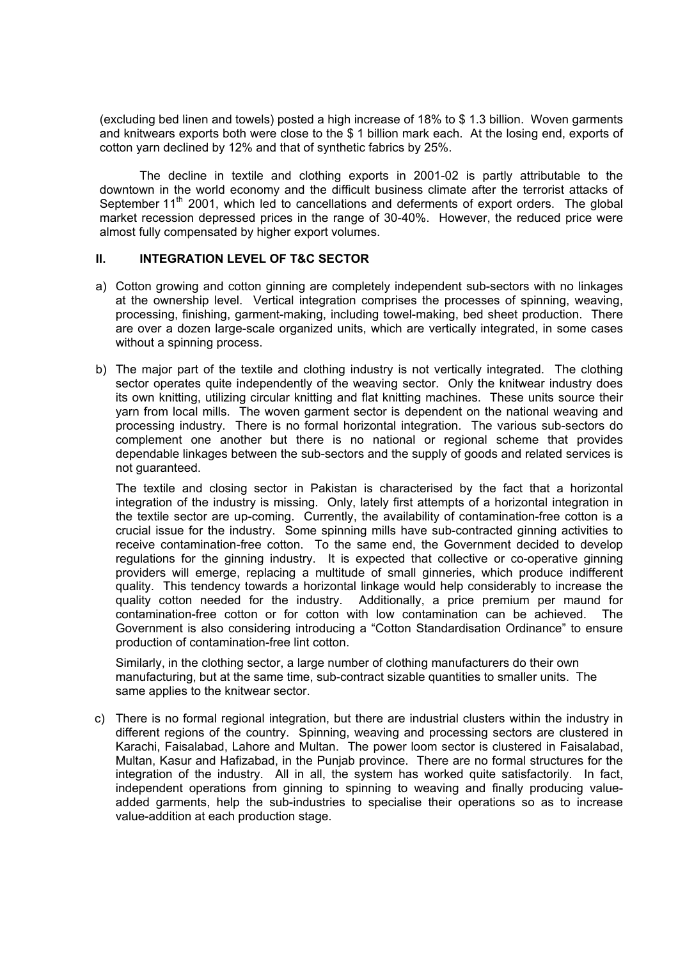(excluding bed linen and towels) posted a high increase of 18% to \$ 1.3 billion. Woven garments and knitwears exports both were close to the \$ 1 billion mark each. At the losing end, exports of cotton yarn declined by 12% and that of synthetic fabrics by 25%.

The decline in textile and clothing exports in 2001-02 is partly attributable to the downtown in the world economy and the difficult business climate after the terrorist attacks of September 11<sup>th</sup> 2001, which led to cancellations and deferments of export orders. The global market recession depressed prices in the range of 30-40%. However, the reduced price were almost fully compensated by higher export volumes.

#### **II. INTEGRATION LEVEL OF T&C SECTOR**

- a) Cotton growing and cotton ginning are completely independent sub-sectors with no linkages at the ownership level. Vertical integration comprises the processes of spinning, weaving, processing, finishing, garment-making, including towel-making, bed sheet production. There are over a dozen large-scale organized units, which are vertically integrated, in some cases without a spinning process.
- b) The major part of the textile and clothing industry is not vertically integrated. The clothing sector operates quite independently of the weaving sector. Only the knitwear industry does its own knitting, utilizing circular knitting and flat knitting machines. These units source their yarn from local mills. The woven garment sector is dependent on the national weaving and processing industry. There is no formal horizontal integration. The various sub-sectors do complement one another but there is no national or regional scheme that provides dependable linkages between the sub-sectors and the supply of goods and related services is not guaranteed.

The textile and closing sector in Pakistan is characterised by the fact that a horizontal integration of the industry is missing. Only, lately first attempts of a horizontal integration in the textile sector are up-coming. Currently, the availability of contamination-free cotton is a crucial issue for the industry. Some spinning mills have sub-contracted ginning activities to receive contamination-free cotton. To the same end, the Government decided to develop regulations for the ginning industry. It is expected that collective or co-operative ginning providers will emerge, replacing a multitude of small ginneries, which produce indifferent quality. This tendency towards a horizontal linkage would help considerably to increase the quality cotton needed for the industry. Additionally, a price premium per maund for contamination-free cotton or for cotton with low contamination can be achieved. The Government is also considering introducing a "Cotton Standardisation Ordinance" to ensure production of contamination-free lint cotton.

Similarly, in the clothing sector, a large number of clothing manufacturers do their own manufacturing, but at the same time, sub-contract sizable quantities to smaller units. The same applies to the knitwear sector.

c) There is no formal regional integration, but there are industrial clusters within the industry in different regions of the country. Spinning, weaving and processing sectors are clustered in Karachi, Faisalabad, Lahore and Multan. The power loom sector is clustered in Faisalabad, Multan, Kasur and Hafizabad, in the Punjab province. There are no formal structures for the integration of the industry. All in all, the system has worked quite satisfactorily. In fact, independent operations from ginning to spinning to weaving and finally producing valueadded garments, help the sub-industries to specialise their operations so as to increase value-addition at each production stage.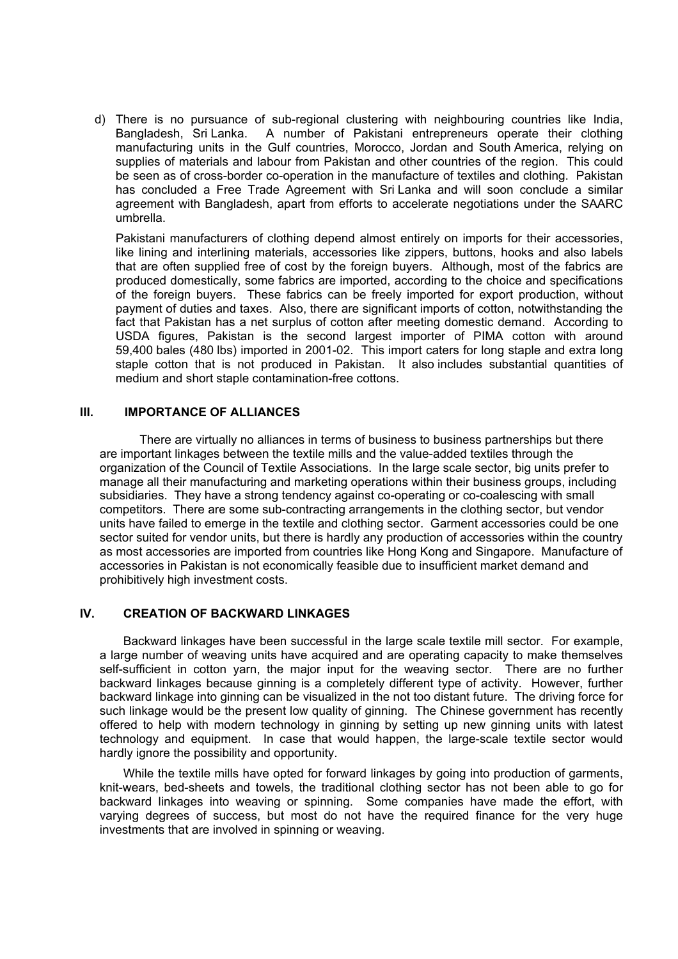d) There is no pursuance of sub-regional clustering with neighbouring countries like India, Bangladesh, Sri Lanka. A number of Pakistani entrepreneurs operate their clothing manufacturing units in the Gulf countries, Morocco, Jordan and South America, relying on supplies of materials and labour from Pakistan and other countries of the region. This could be seen as of cross-border co-operation in the manufacture of textiles and clothing. Pakistan has concluded a Free Trade Agreement with Sri Lanka and will soon conclude a similar agreement with Bangladesh, apart from efforts to accelerate negotiations under the SAARC umbrella.

Pakistani manufacturers of clothing depend almost entirely on imports for their accessories, like lining and interlining materials, accessories like zippers, buttons, hooks and also labels that are often supplied free of cost by the foreign buyers. Although, most of the fabrics are produced domestically, some fabrics are imported, according to the choice and specifications of the foreign buyers. These fabrics can be freely imported for export production, without payment of duties and taxes. Also, there are significant imports of cotton, notwithstanding the fact that Pakistan has a net surplus of cotton after meeting domestic demand. According to USDA figures, Pakistan is the second largest importer of PIMA cotton with around 59,400 bales (480 lbs) imported in 2001-02. This import caters for long staple and extra long staple cotton that is not produced in Pakistan. It also includes substantial quantities of medium and short staple contamination-free cottons.

#### **III. IMPORTANCE OF ALLIANCES**

There are virtually no alliances in terms of business to business partnerships but there are important linkages between the textile mills and the value-added textiles through the organization of the Council of Textile Associations. In the large scale sector, big units prefer to manage all their manufacturing and marketing operations within their business groups, including subsidiaries. They have a strong tendency against co-operating or co-coalescing with small competitors. There are some sub-contracting arrangements in the clothing sector, but vendor units have failed to emerge in the textile and clothing sector. Garment accessories could be one sector suited for vendor units, but there is hardly any production of accessories within the country as most accessories are imported from countries like Hong Kong and Singapore. Manufacture of accessories in Pakistan is not economically feasible due to insufficient market demand and prohibitively high investment costs.

#### **IV. CREATION OF BACKWARD LINKAGES**

 Backward linkages have been successful in the large scale textile mill sector. For example, a large number of weaving units have acquired and are operating capacity to make themselves self-sufficient in cotton yarn, the major input for the weaving sector. There are no further backward linkages because ginning is a completely different type of activity. However, further backward linkage into ginning can be visualized in the not too distant future. The driving force for such linkage would be the present low quality of ginning. The Chinese government has recently offered to help with modern technology in ginning by setting up new ginning units with latest technology and equipment. In case that would happen, the large-scale textile sector would hardly ignore the possibility and opportunity.

 While the textile mills have opted for forward linkages by going into production of garments, knit-wears, bed-sheets and towels, the traditional clothing sector has not been able to go for backward linkages into weaving or spinning. Some companies have made the effort, with varying degrees of success, but most do not have the required finance for the very huge investments that are involved in spinning or weaving.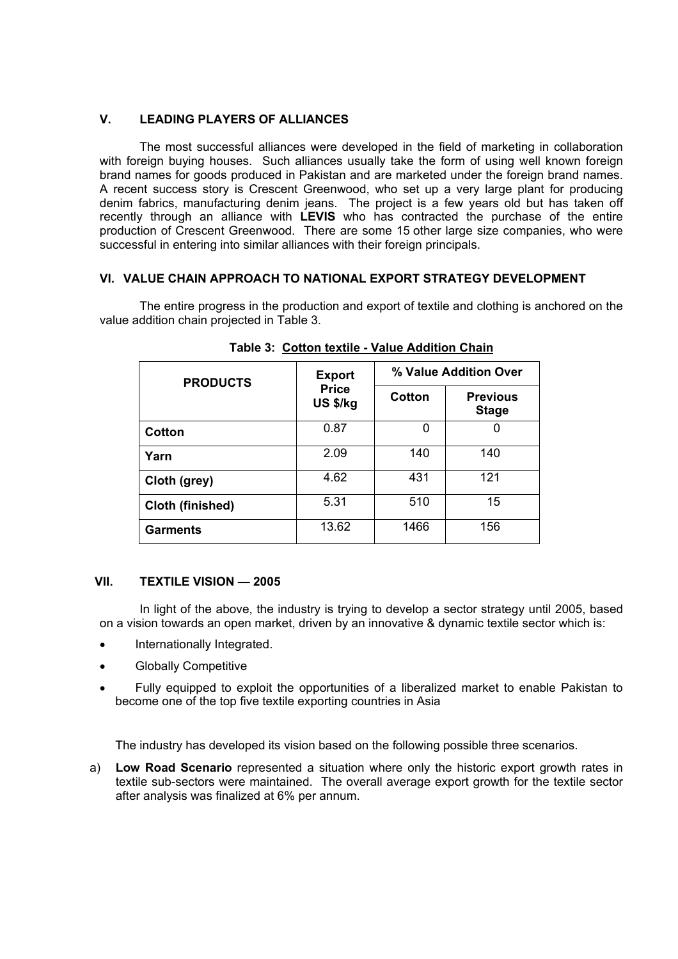#### **V. LEADING PLAYERS OF ALLIANCES**

The most successful alliances were developed in the field of marketing in collaboration with foreign buying houses. Such alliances usually take the form of using well known foreign brand names for goods produced in Pakistan and are marketed under the foreign brand names. A recent success story is Crescent Greenwood, who set up a very large plant for producing denim fabrics, manufacturing denim jeans. The project is a few years old but has taken off recently through an alliance with **LEVIS** who has contracted the purchase of the entire production of Crescent Greenwood. There are some 15 other large size companies, who were successful in entering into similar alliances with their foreign principals.

#### **VI. VALUE CHAIN APPROACH TO NATIONAL EXPORT STRATEGY DEVELOPMENT**

The entire progress in the production and export of textile and clothing is anchored on the value addition chain projected in Table 3.

| <b>PRODUCTS</b>  | <b>Export</b>            | % Value Addition Over |                                 |  |
|------------------|--------------------------|-----------------------|---------------------------------|--|
|                  | <b>Price</b><br>US \$/kg | Cotton                | <b>Previous</b><br><b>Stage</b> |  |
| Cotton           | 0.87                     |                       |                                 |  |
| Yarn             | 2.09                     | 140                   | 140                             |  |
| Cloth (grey)     | 4.62                     | 431                   | 121                             |  |
| Cloth (finished) | 5.31                     | 510                   | 15                              |  |
| <b>Garments</b>  | 13.62                    | 1466                  | 156                             |  |

**Table 3: Cotton textile - Value Addition Chain**

#### **VII. TEXTILE VISION — 2005**

 In light of the above, the industry is trying to develop a sector strategy until 2005, based on a vision towards an open market, driven by an innovative & dynamic textile sector which is:

- Internationally Integrated.
- Globally Competitive
- Fully equipped to exploit the opportunities of a liberalized market to enable Pakistan to become one of the top five textile exporting countries in Asia

The industry has developed its vision based on the following possible three scenarios.

a) **Low Road Scenario** represented a situation where only the historic export growth rates in textile sub-sectors were maintained. The overall average export growth for the textile sector after analysis was finalized at 6% per annum.